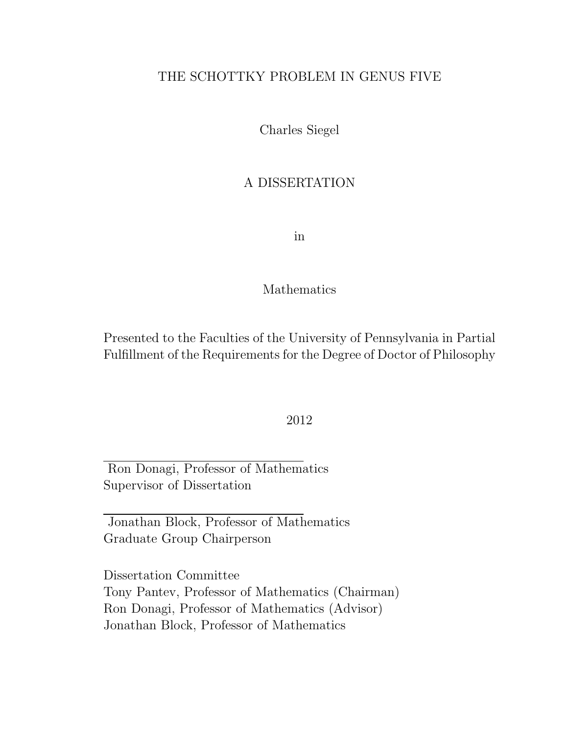#### THE SCHOTTKY PROBLEM IN GENUS FIVE

Charles Siegel

#### A DISSERTATION

in

#### Mathematics

Presented to the Faculties of the University of Pennsylvania in Partial Fulfillment of the Requirements for the Degree of Doctor of Philosophy

#### 2012

Ron Donagi, Professor of Mathematics Supervisor of Dissertation

Jonathan Block, Professor of Mathematics Graduate Group Chairperson

Dissertation Committee Tony Pantev, Professor of Mathematics (Chairman) Ron Donagi, Professor of Mathematics (Advisor) Jonathan Block, Professor of Mathematics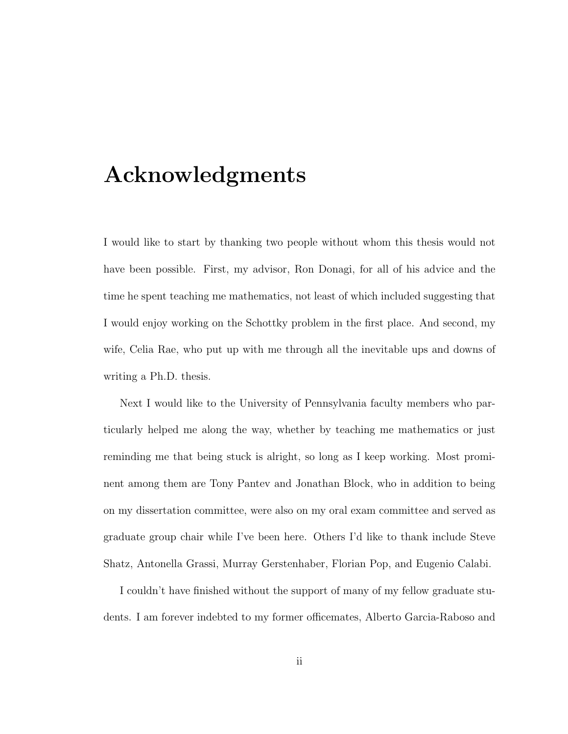## Acknowledgments

I would like to start by thanking two people without whom this thesis would not have been possible. First, my advisor, Ron Donagi, for all of his advice and the time he spent teaching me mathematics, not least of which included suggesting that I would enjoy working on the Schottky problem in the first place. And second, my wife, Celia Rae, who put up with me through all the inevitable ups and downs of writing a Ph.D. thesis.

Next I would like to the University of Pennsylvania faculty members who particularly helped me along the way, whether by teaching me mathematics or just reminding me that being stuck is alright, so long as I keep working. Most prominent among them are Tony Pantev and Jonathan Block, who in addition to being on my dissertation committee, were also on my oral exam committee and served as graduate group chair while I've been here. Others I'd like to thank include Steve Shatz, Antonella Grassi, Murray Gerstenhaber, Florian Pop, and Eugenio Calabi.

I couldn't have finished without the support of many of my fellow graduate students. I am forever indebted to my former officemates, Alberto Garcia-Raboso and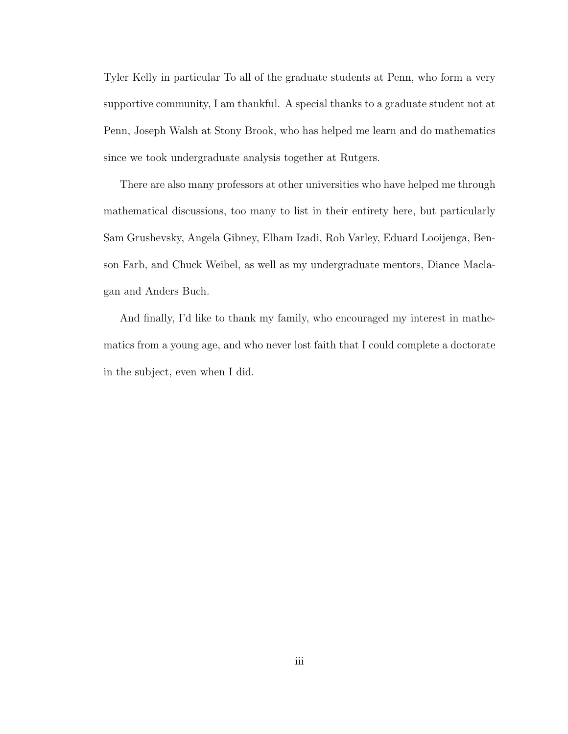Tyler Kelly in particular To all of the graduate students at Penn, who form a very supportive community, I am thankful. A special thanks to a graduate student not at Penn, Joseph Walsh at Stony Brook, who has helped me learn and do mathematics since we took undergraduate analysis together at Rutgers.

There are also many professors at other universities who have helped me through mathematical discussions, too many to list in their entirety here, but particularly Sam Grushevsky, Angela Gibney, Elham Izadi, Rob Varley, Eduard Looijenga, Benson Farb, and Chuck Weibel, as well as my undergraduate mentors, Diance Maclagan and Anders Buch.

And finally, I'd like to thank my family, who encouraged my interest in mathematics from a young age, and who never lost faith that I could complete a doctorate in the subject, even when I did.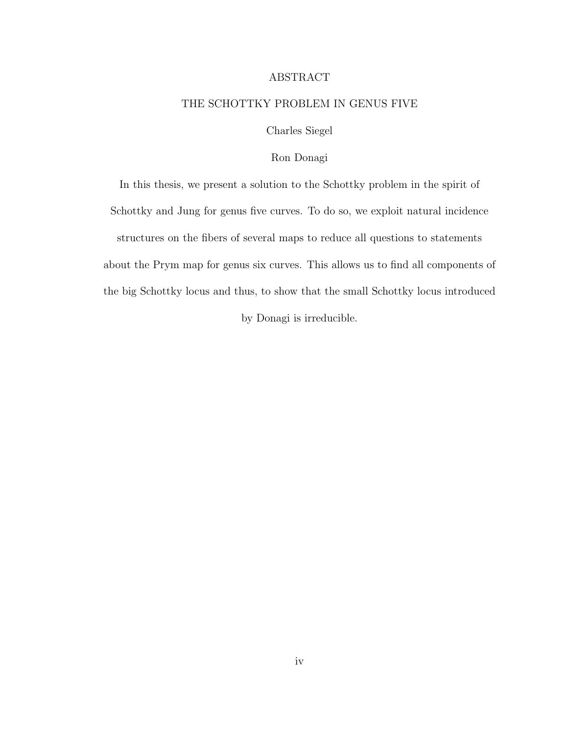#### ABSTRACT

#### THE SCHOTTKY PROBLEM IN GENUS FIVE

Charles Siegel

#### Ron Donagi

In this thesis, we present a solution to the Schottky problem in the spirit of Schottky and Jung for genus five curves. To do so, we exploit natural incidence structures on the fibers of several maps to reduce all questions to statements about the Prym map for genus six curves. This allows us to find all components of the big Schottky locus and thus, to show that the small Schottky locus introduced by Donagi is irreducible.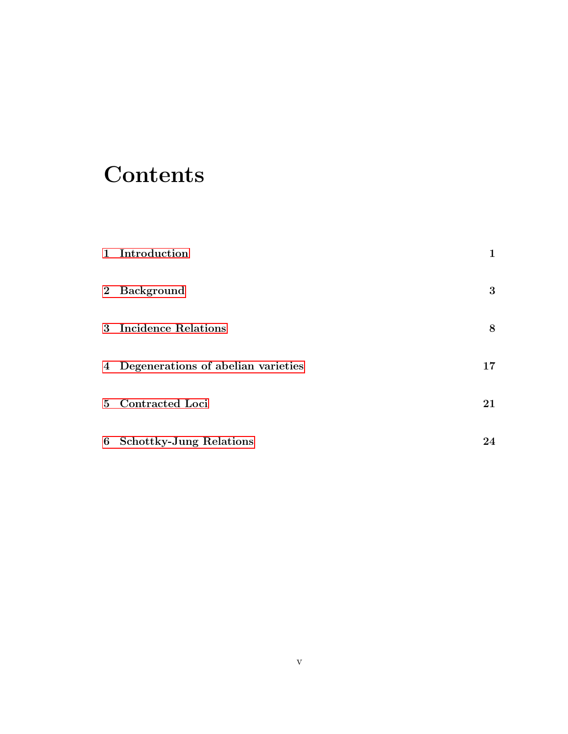# **Contents**

| 1 Introduction                       | 1  |
|--------------------------------------|----|
| 2 Background                         | 3  |
| 3 Incidence Relations                | 8  |
| 4 Degenerations of abelian varieties | 17 |
| 5 Contracted Loci                    | 21 |
| 6 Schottky-Jung Relations            | 24 |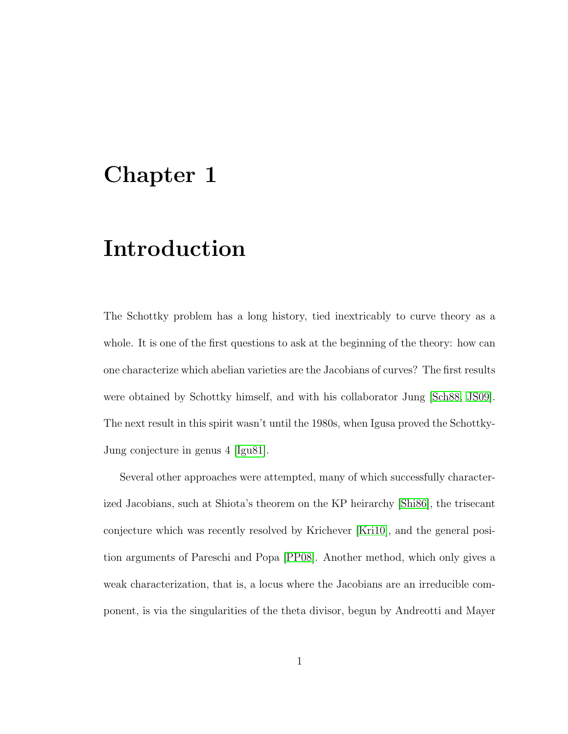## <span id="page-5-0"></span>Chapter 1

# Introduction

The Schottky problem has a long history, tied inextricably to curve theory as a whole. It is one of the first questions to ask at the beginning of the theory: how can one characterize which abelian varieties are the Jacobians of curves? The first results were obtained by Schottky himself, and with his collaborator Jung [\[Sch88,](#page-33-0) [JS09\]](#page-33-1). The next result in this spirit wasn't until the 1980s, when Igusa proved the Schottky-Jung conjecture in genus 4 [\[Igu81\]](#page-32-0).

Several other approaches were attempted, many of which successfully characterized Jacobians, such at Shiota's theorem on the KP heirarchy [\[Shi86\]](#page-34-0), the trisecant conjecture which was recently resolved by Krichever [\[Kri10\]](#page-33-2), and the general position arguments of Pareschi and Popa [\[PP08\]](#page-33-3). Another method, which only gives a weak characterization, that is, a locus where the Jacobians are an irreducible component, is via the singularities of the theta divisor, begun by Andreotti and Mayer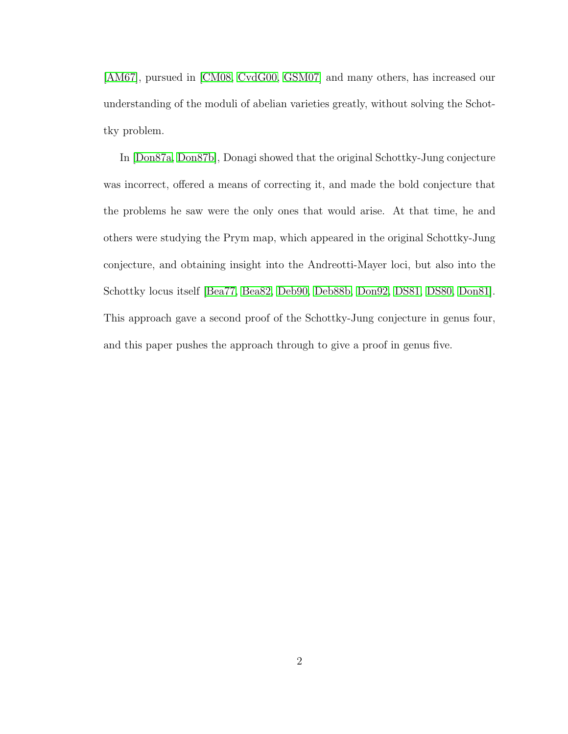[\[AM67\]](#page-30-0), pursued in [\[CM08,](#page-31-0) [CvdG00,](#page-31-1) [GSM07\]](#page-32-1) and many others, has increased our understanding of the moduli of abelian varieties greatly, without solving the Schottky problem.

In [\[Don87a,](#page-31-2) [Don87b\]](#page-32-2), Donagi showed that the original Schottky-Jung conjecture was incorrect, offered a means of correcting it, and made the bold conjecture that the problems he saw were the only ones that would arise. At that time, he and others were studying the Prym map, which appeared in the original Schottky-Jung conjecture, and obtaining insight into the Andreotti-Mayer loci, but also into the Schottky locus itself [\[Bea77,](#page-30-1) [Bea82,](#page-30-2) [Deb90,](#page-31-3) [Deb88b,](#page-31-4) [Don92,](#page-32-3) [DS81,](#page-32-4) [DS80,](#page-32-5) [Don81\]](#page-31-5). This approach gave a second proof of the Schottky-Jung conjecture in genus four, and this paper pushes the approach through to give a proof in genus five.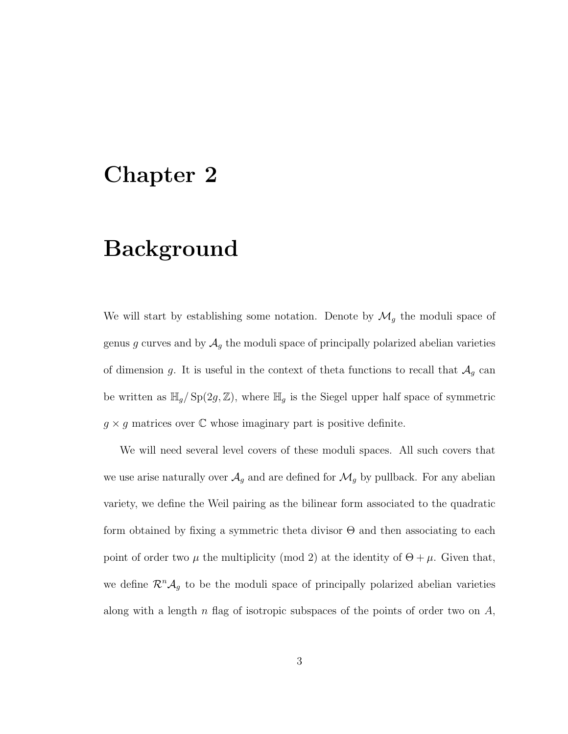### <span id="page-7-0"></span>Chapter 2

## Background

We will start by establishing some notation. Denote by  $\mathcal{M}_g$  the moduli space of genus g curves and by  $A_g$  the moduli space of principally polarized abelian varieties of dimension g. It is useful in the context of theta functions to recall that  $\mathcal{A}_g$  can be written as  $\mathbb{H}_g$ / $\text{Sp}(2g, \mathbb{Z})$ , where  $\mathbb{H}_g$  is the Siegel upper half space of symmetric  $g \times g$  matrices over  $\mathbb C$  whose imaginary part is positive definite.

We will need several level covers of these moduli spaces. All such covers that we use arise naturally over  $\mathcal{A}_g$  and are defined for  $\mathcal{M}_g$  by pullback. For any abelian variety, we define the Weil pairing as the bilinear form associated to the quadratic form obtained by fixing a symmetric theta divisor  $\Theta$  and then associating to each point of order two  $\mu$  the multiplicity (mod 2) at the identity of  $\Theta + \mu$ . Given that, we define  $\mathcal{R}^n \mathcal{A}_g$  to be the moduli space of principally polarized abelian varieties along with a length  $n$  flag of isotropic subspaces of the points of order two on  $A$ ,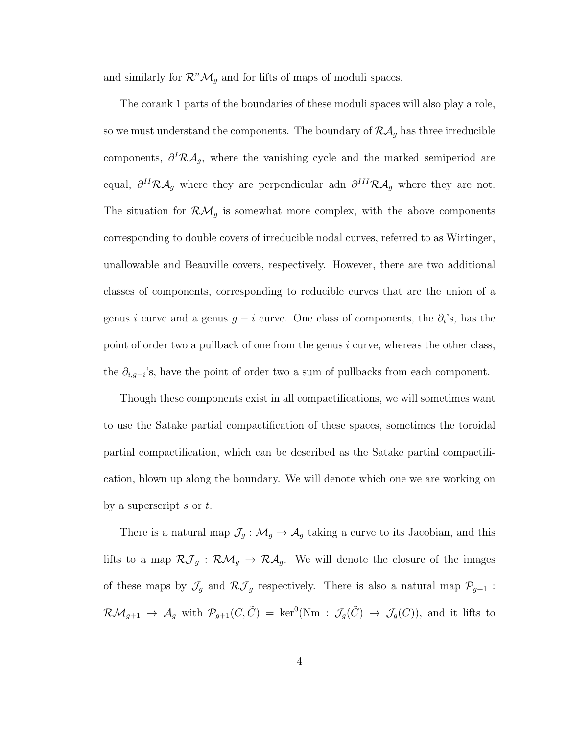and similarly for  $\mathcal{R}^n\mathcal{M}_g$  and for lifts of maps of moduli spaces.

The corank 1 parts of the boundaries of these moduli spaces will also play a role, so we must understand the components. The boundary of  $\mathcal{RA}_g$  has three irreducible components,  $\partial^I \mathcal{R} \mathcal{A}_g$ , where the vanishing cycle and the marked semiperiod are equal,  $\partial^{II}R\mathcal{A}_g$  where they are perpendicular adn  $\partial^{III}R\mathcal{A}_g$  where they are not. The situation for  $\mathcal{RM}_g$  is somewhat more complex, with the above components corresponding to double covers of irreducible nodal curves, referred to as Wirtinger, unallowable and Beauville covers, respectively. However, there are two additional classes of components, corresponding to reducible curves that are the union of a genus i curve and a genus  $g - i$  curve. One class of components, the  $\partial_i$ 's, has the point of order two a pullback of one from the genus i curve, whereas the other class, the  $\partial_{i,g-i}$ 's, have the point of order two a sum of pullbacks from each component.

Though these components exist in all compactifications, we will sometimes want to use the Satake partial compactification of these spaces, sometimes the toroidal partial compactification, which can be described as the Satake partial compactification, blown up along the boundary. We will denote which one we are working on by a superscript s or  $t$ .

There is a natural map  $\mathcal{J}_g : \mathcal{M}_g \to \mathcal{A}_g$  taking a curve to its Jacobian, and this lifts to a map  $\mathcal{RJ}_g$  :  $\mathcal{RM}_g \to \mathcal{RA}_g$ . We will denote the closure of the images of these maps by  $\mathcal{J}_g$  and  $\mathcal{R}\mathcal{J}_g$  respectively. There is also a natural map  $\mathcal{P}_{g+1}$  :  $\mathcal{RM}_{g+1} \to \mathcal{A}_g$  with  $\mathcal{P}_{g+1}(C,\tilde{C}) = \text{ker}^0(\text{Nm} : \mathcal{J}_g(\tilde{C}) \to \mathcal{J}_g(C)),$  and it lifts to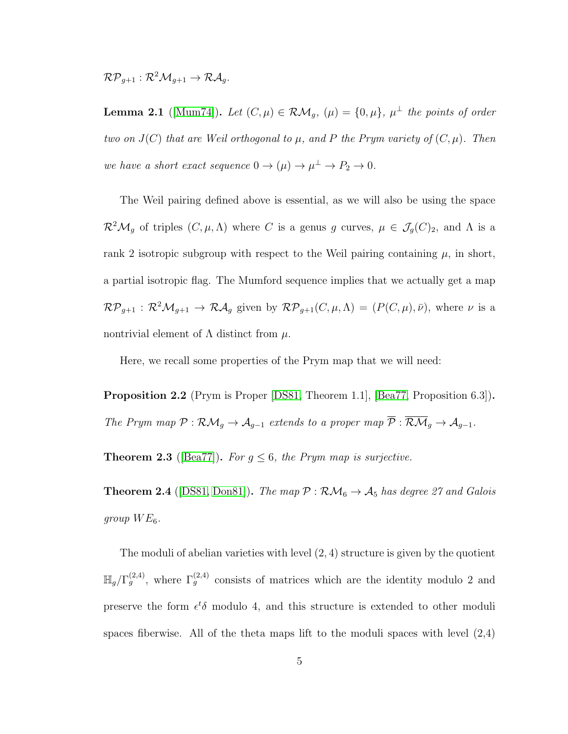$\mathcal{RP}_{q+1} : \mathcal{R}^2\mathcal{M}_{q+1} \to \mathcal{RA}_q.$ 

**Lemma 2.1** ([\[Mum74\]](#page-33-4)). Let  $(C, \mu) \in \mathcal{RM}_g$ ,  $(\mu) = \{0, \mu\}$ ,  $\mu^{\perp}$  the points of order two on  $J(C)$  that are Weil orthogonal to  $\mu$ , and P the Prym variety of  $(C, \mu)$ . Then we have a short exact sequence  $0 \to (\mu) \to \mu^{\perp} \to P_2 \to 0$ .

The Weil pairing defined above is essential, as we will also be using the space  $\mathcal{R}^2\mathcal{M}_g$  of triples  $(C, \mu, \Lambda)$  where C is a genus g curves,  $\mu \in \mathcal{J}_g(C)_2$ , and  $\Lambda$  is a rank 2 isotropic subgroup with respect to the Weil pairing containing  $\mu$ , in short, a partial isotropic flag. The Mumford sequence implies that we actually get a map  $\mathcal{RP}_{g+1}: \mathcal{R}^2\mathcal{M}_{g+1} \to \mathcal{RA}_g$  given by  $\mathcal{RP}_{g+1}(C,\mu,\Lambda) = (P(C,\mu),\bar{\nu}),$  where  $\nu$  is a nontrivial element of  $\Lambda$  distinct from  $\mu$ .

Here, we recall some properties of the Prym map that we will need:

Proposition 2.2 (Prym is Proper [\[DS81,](#page-32-4) Theorem 1.1], [\[Bea77,](#page-30-1) Proposition 6.3]). The Prym map  $\mathcal{P}: \mathcal{RM}_g \to \mathcal{A}_{g-1}$  extends to a proper map  $\overline{\mathcal{P}}: \overline{\mathcal{RM}}_g \to \mathcal{A}_{g-1}$ .

**Theorem 2.3** ([\[Bea77\]](#page-30-1)). For  $g \leq 6$ , the Prym map is surjective.

**Theorem 2.4** ([\[DS81,](#page-32-4) [Don81\]](#page-31-5)). The map  $P : \mathcal{RM}_6 \to \mathcal{A}_5$  has degree 27 and Galois group  $WE_6$ .

The moduli of abelian varieties with level  $(2, 4)$  structure is given by the quotient  $\mathbb{H}_g/\Gamma_g^{(2,4)}$ , where  $\Gamma_g^{(2,4)}$  consists of matrices which are the identity modulo 2 and preserve the form  $\epsilon^t \delta$  modulo 4, and this structure is extended to other moduli spaces fiberwise. All of the theta maps lift to the moduli spaces with level  $(2,4)$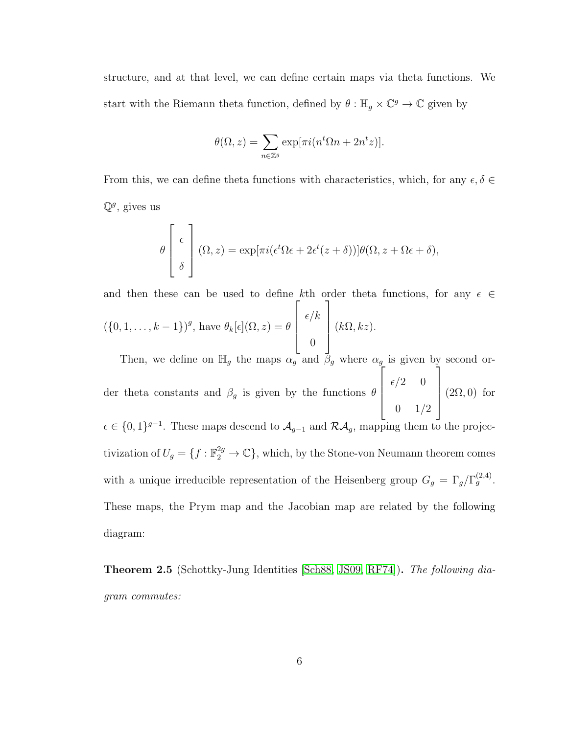structure, and at that level, we can define certain maps via theta functions. We start with the Riemann theta function, defined by  $\theta : \mathbb{H}_g \times \mathbb{C}^g \to \mathbb{C}$  given by

$$
\theta(\Omega, z) = \sum_{n \in \mathbb{Z}^g} \exp[\pi i (n^t \Omega n + 2n^t z)].
$$

From this, we can define theta functions with characteristics, which, for any  $\epsilon, \delta \in$  $\mathbb{Q}^g$ , gives us

$$
\theta \left[ \begin{array}{c} \epsilon \\ \delta \end{array} \right] (\Omega, z) = \exp[\pi i (\epsilon^t \Omega \epsilon + 2\epsilon^t (z + \delta))] \theta (\Omega, z + \Omega \epsilon + \delta),
$$

and then these can be used to define kth order theta functions, for any  $\epsilon \in$  $({0, 1, \ldots, k-1})^g$ , have  $\theta_k[\epsilon](\Omega, z) = \theta$  $\sqrt{ }$  $\overline{\phantom{a}}$  $\epsilon/k$ 0 1  $\begin{matrix} \phantom{-} \end{matrix}$  $(k\Omega, kz).$ 

Then, we define on  $\mathbb{H}_g$  the maps  $\alpha_g$  and  $\beta_g$  where  $\alpha_g$  is given by second order theta constants and  $\beta_g$  is given by the functions  $\theta$  $\sqrt{ }$   $\epsilon/2$  0  $0 \t1/2$ 1  $\overline{\phantom{a}}$  $(2\Omega, 0)$  for  $\epsilon \in \{0,1\}^{g-1}$ . These maps descend to  $\mathcal{A}_{g-1}$  and  $\mathcal{R}\mathcal{A}_g$ , mapping them to the projec $g-1$ 

tivization of  $U_g = \{f : \mathbb{F}_2^{2g} \to \mathbb{C}\}$ , which, by the Stone-von Neumann theorem comes with a unique irreducible representation of the Heisenberg group  $G_g = \Gamma_g / \Gamma_g^{(2,4)}$ . These maps, the Prym map and the Jacobian map are related by the following diagram:

**Theorem 2.5** (Schottky-Jung Identities [\[Sch88,](#page-33-0) [JS09,](#page-33-1) [RF74\]](#page-33-5)). The following diagram commutes: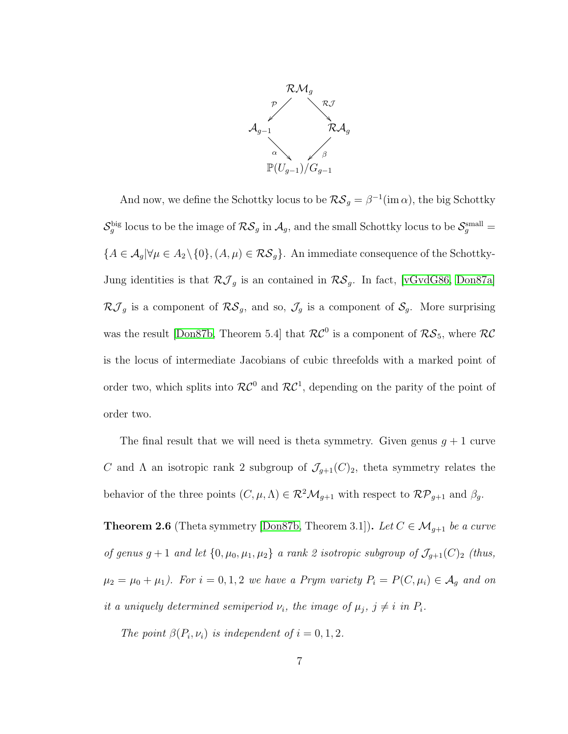

And now, we define the Schottky locus to be  $\mathcal{RS}_g = \beta^{-1}(\text{im }\alpha)$ , the big Schottky  $\mathcal{S}_g^{\text{big}}$  locus to be the image of  $\mathcal{RS}_g$  in  $\mathcal{A}_g$ , and the small Schottky locus to be  $\mathcal{S}_g^{\text{small}}$  ${A \in \mathcal{A}_g | \forall \mu \in A_2 \setminus \{0\}, (A, \mu) \in \mathcal{RS}_g}$ . An immediate consequence of the Schottky-Jung identities is that  $\mathcal{RJ}_g$  is an contained in  $\mathcal{RS}_g$ . In fact, [\[vGvdG86,](#page-34-1) [Don87a\]](#page-31-2)  $\mathcal{R}J_g$  is a component of  $\mathcal{R}\mathcal{S}_g$ , and so,  $\mathcal{J}_g$  is a component of  $\mathcal{S}_g$ . More surprising was the result [\[Don87b,](#page-32-2) Theorem 5.4] that  $\mathcal{RC}^0$  is a component of  $\mathcal{RS}_5$ , where  $\mathcal{RC}$ is the locus of intermediate Jacobians of cubic threefolds with a marked point of order two, which splits into  $\mathcal{RC}^0$  and  $\mathcal{RC}^1$ , depending on the parity of the point of order two.

The final result that we will need is theta symmetry. Given genus  $q + 1$  curve C and  $\Lambda$  an isotropic rank 2 subgroup of  $\mathcal{J}_{g+1}(C)_2$ , theta symmetry relates the behavior of the three points  $(C, \mu, \Lambda) \in \mathbb{R}^2 \mathcal{M}_{g+1}$  with respect to  $\mathcal{RP}_{g+1}$  and  $\beta_g$ .

**Theorem 2.6** (Theta symmetry [\[Don87b,](#page-32-2) Theorem 3.1]). Let  $C \in \mathcal{M}_{g+1}$  be a curve of genus  $g + 1$  and let  $\{0, \mu_0, \mu_1, \mu_2\}$  a rank 2 isotropic subgroup of  $\mathcal{J}_{g+1}(C)_{2}$  (thus,  $\mu_2 = \mu_0 + \mu_1$ ). For  $i = 0, 1, 2$  we have a Prym variety  $P_i = P(C, \mu_i) \in \mathcal{A}_g$  and on it a uniquely determined semiperiod  $\nu_i$ , the image of  $\mu_j$ ,  $j \neq i$  in  $P_i$ .

The point  $\beta(P_i, \nu_i)$  is independent of  $i = 0, 1, 2$ .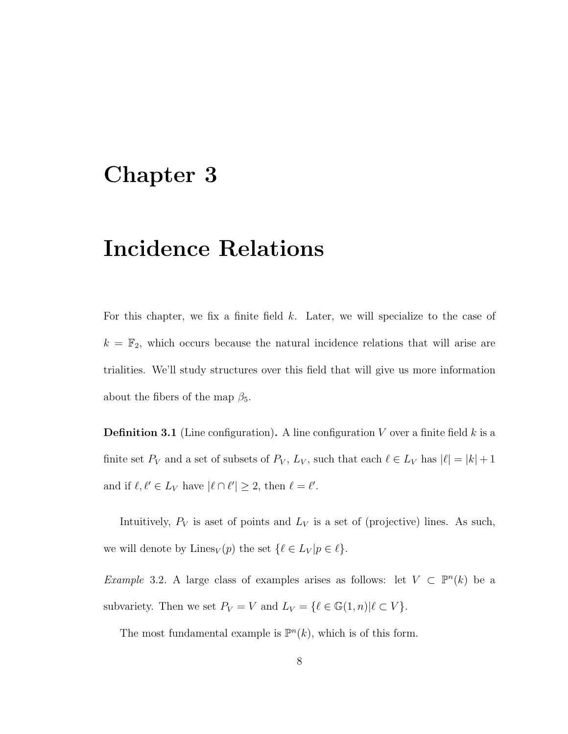### <span id="page-12-0"></span>Chapter 3

# Incidence Relations

For this chapter, we fix a finite field k. Later, we will specialize to the case of  $k = \mathbb{F}_2$ , which occurs because the natural incidence relations that will arise are trialities. We'll study structures over this field that will give us more information about the fibers of the map  $\beta_5$ .

**Definition 3.1** (Line configuration). A line configuration V over a finite field  $k$  is a finite set  $P_V$  and a set of subsets of  $P_V$ ,  $L_V$ , such that each  $\ell \in L_V$  has  $|\ell| = |k| + 1$ and if  $\ell, \ell' \in L_V$  have  $|\ell \cap \ell'| \geq 2$ , then  $\ell = \ell'.$ 

Intuitively,  $P_V$  is a set of points and  $L_V$  is a set of (projective) lines. As such, we will denote by Lines<sub>V</sub> $(p)$  the set  $\{\ell \in L_V | p \in \ell\}.$ 

<span id="page-12-1"></span>Example 3.2. A large class of examples arises as follows: let  $V \subset \mathbb{P}^n(k)$  be a subvariety. Then we set  $P_V = V$  and  $L_V = \{ \ell \in \mathbb{G}(1, n) | \ell \subset V \}.$ 

The most fundamental example is  $\mathbb{P}^n(k)$ , which is of this form.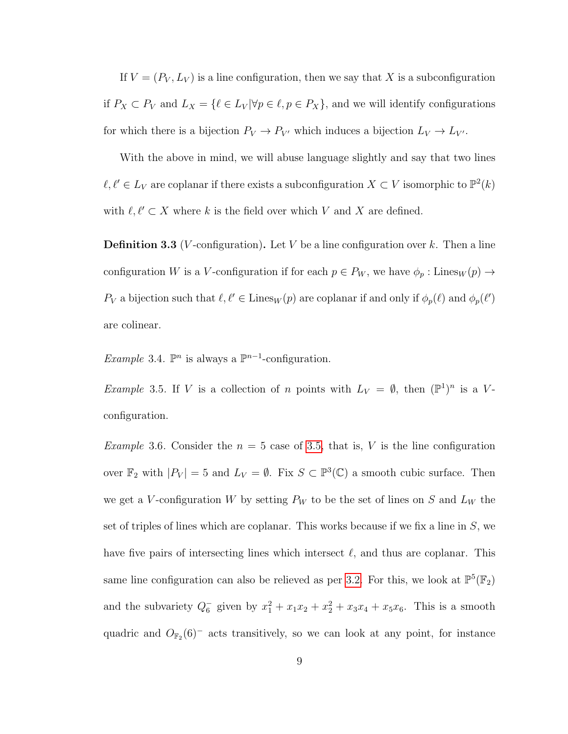If  $V = (P_V, L_V)$  is a line configuration, then we say that X is a subconfiguration if  $P_X \subset P_V$  and  $L_X = \{ \ell \in L_V | \forall p \in \ell, p \in P_X \}$ , and we will identify configurations for which there is a bijection  $P_V \to P_{V'}$  which induces a bijection  $L_V \to L_{V'}$ .

With the above in mind, we will abuse language slightly and say that two lines  $\ell, \ell' \in L_V$  are coplanar if there exists a subconfiguration  $X \subset V$  isomorphic to  $\mathbb{P}^2(k)$ with  $\ell, \ell' \subset X$  where k is the field over which V and X are defined.

**Definition 3.3** (*V*-configuration). Let *V* be a line configuration over k. Then a line configuration W is a V-configuration if for each  $p \in P_W$ , we have  $\phi_p$ : Lines $w(p) \to$  $P_V$  a bijection such that  $\ell, \ell' \in \text{Lines}_W(p)$  are coplanar if and only if  $\phi_p(\ell)$  and  $\phi_p(\ell')$ are colinear.

<span id="page-13-0"></span>Example 3.4.  $\mathbb{P}^n$  is always a  $\mathbb{P}^{n-1}$ -configuration.

*Example* 3.5. If V is a collection of n points with  $L_V = \emptyset$ , then  $(\mathbb{P}^1)^n$  is a Vconfiguration.

<span id="page-13-1"></span>*Example* 3.6. Consider the  $n = 5$  case of [3.5,](#page-13-0) that is, V is the line configuration over  $\mathbb{F}_2$  with  $|P_V| = 5$  and  $L_V = \emptyset$ . Fix  $S \subset \mathbb{P}^3(\mathbb{C})$  a smooth cubic surface. Then we get a V-configuration W by setting  $P_W$  to be the set of lines on S and  $L_W$  the set of triples of lines which are coplanar. This works because if we fix a line in  $S$ , we have five pairs of intersecting lines which intersect  $\ell$ , and thus are coplanar. This same line configuration can also be relieved as per [3.2.](#page-12-1) For this, we look at  $\mathbb{P}^5(\mathbb{F}_2)$ and the subvariety  $Q_6^-$  given by  $x_1^2 + x_1x_2 + x_2^2 + x_3x_4 + x_5x_6$ . This is a smooth quadric and  $O_{\mathbb{F}_2}(6)^-$  acts transitively, so we can look at any point, for instance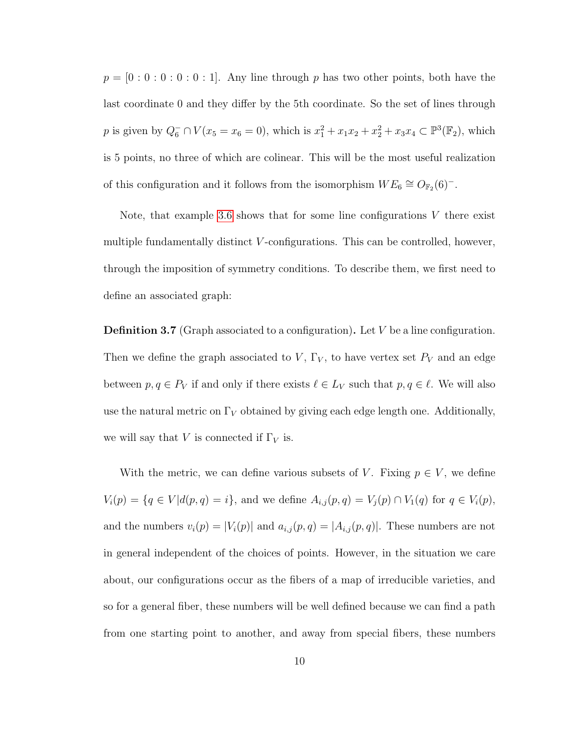$p = [0:0:0:0:0:1]$ . Any line through p has two other points, both have the last coordinate 0 and they differ by the 5th coordinate. So the set of lines through p is given by  $Q_6^- \cap V(x_5 = x_6 = 0)$ , which is  $x_1^2 + x_1x_2 + x_2^2 + x_3x_4 \subset \mathbb{P}^3(\mathbb{F}_2)$ , which is 5 points, no three of which are colinear. This will be the most useful realization of this configuration and it follows from the isomorphism  $WE_6 \cong O_{\mathbb{F}_2}(6)^-$ .

Note, that example [3.6](#page-13-1) shows that for some line configurations  $V$  there exist multiple fundamentally distinct V-configurations. This can be controlled, however, through the imposition of symmetry conditions. To describe them, we first need to define an associated graph:

**Definition 3.7** (Graph associated to a configuration). Let  $V$  be a line configuration. Then we define the graph associated to  $V$ ,  $\Gamma_V$ , to have vertex set  $P_V$  and an edge between  $p, q \in P_V$  if and only if there exists  $\ell \in L_V$  such that  $p, q \in \ell$ . We will also use the natural metric on  $\Gamma_V$  obtained by giving each edge length one. Additionally, we will say that V is connected if  $\Gamma_V$  is.

With the metric, we can define various subsets of V. Fixing  $p \in V$ , we define  $V_i(p) = \{q \in V | d(p, q) = i\},\$ and we define  $A_{i,j}(p, q) = V_j(p) \cap V_1(q)$  for  $q \in V_i(p)$ , and the numbers  $v_i(p) = |V_i(p)|$  and  $a_{i,j}(p,q) = |A_{i,j}(p,q)|$ . These numbers are not in general independent of the choices of points. However, in the situation we care about, our configurations occur as the fibers of a map of irreducible varieties, and so for a general fiber, these numbers will be well defined because we can find a path from one starting point to another, and away from special fibers, these numbers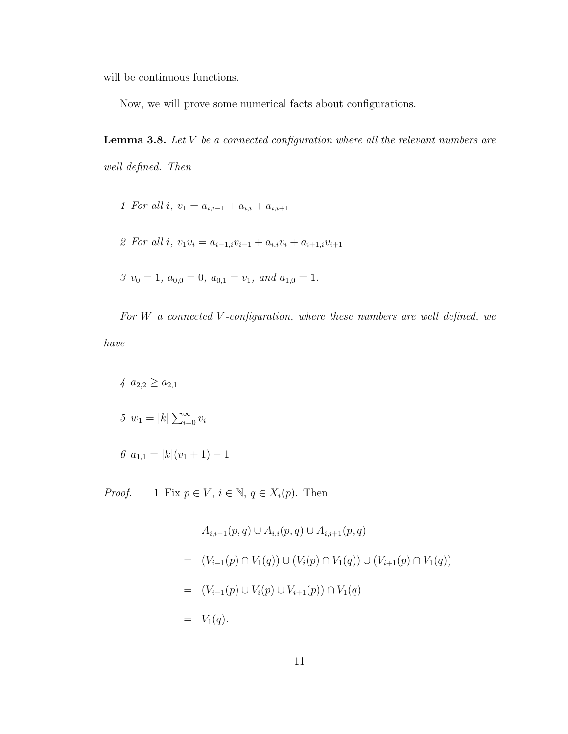will be continuous functions.

Now, we will prove some numerical facts about configurations.

<span id="page-15-0"></span>**Lemma 3.8.** Let  $V$  be a connected configuration where all the relevant numbers are well defined. Then

- 1 For all i,  $v_1 = a_{i,i-1} + a_{i,i} + a_{i,i+1}$
- 2 For all i,  $v_1v_i = a_{i-1,i}v_{i-1} + a_{i,i}v_i + a_{i+1,i}v_{i+1}$
- $3 v_0 = 1, a_{0,0} = 0, a_{0,1} = v_1, and a_{1,0} = 1.$

For  $W$  a connected  $V$ -configuration, where these numbers are well defined, we have

 $4 \ a_{2,2} \geq a_{2,1}$ 5  $w_1 = |k| \sum_{i=0}^{\infty} v_i$ 6  $a_{1,1} = |k|(v_1 + 1) - 1$ 

*Proof.* 1 Fix  $p \in V$ ,  $i \in \mathbb{N}$ ,  $q \in X_i(p)$ . Then

$$
A_{i,i-1}(p,q) \cup A_{i,i}(p,q) \cup A_{i,i+1}(p,q)
$$
  
= 
$$
(V_{i-1}(p) \cap V_1(q)) \cup (V_i(p) \cap V_1(q)) \cup (V_{i+1}(p) \cap V_1(q))
$$
  
= 
$$
(V_{i-1}(p) \cup V_i(p) \cup V_{i+1}(p)) \cap V_1(q)
$$
  
= 
$$
V_1(q).
$$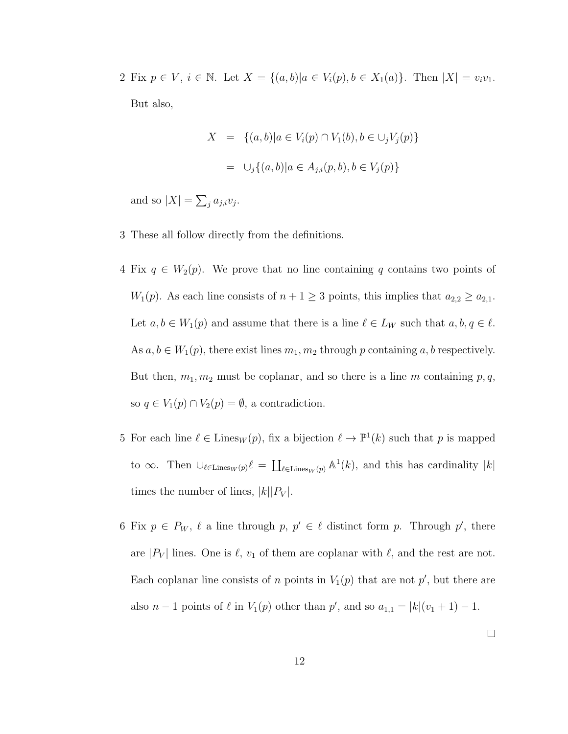2 Fix  $p \in V$ ,  $i \in \mathbb{N}$ . Let  $X = \{(a, b) | a \in V_i(p), b \in X_1(a)\}$ . Then  $|X| = v_i v_1$ . But also,

$$
X = \{(a, b) | a \in V_i(p) \cap V_1(b), b \in \cup_j V_j(p) \}
$$
  
=  $\cup_j \{(a, b) | a \in A_{j,i}(p, b), b \in V_j(p) \}$ 

and so  $|X| = \sum_j a_{j,i} v_j$ .

- 3 These all follow directly from the definitions.
- 4 Fix  $q \in W_2(p)$ . We prove that no line containing q contains two points of  $W_1(p)$ . As each line consists of  $n + 1 \geq 3$  points, this implies that  $a_{2,2} \geq a_{2,1}$ . Let  $a, b \in W_1(p)$  and assume that there is a line  $\ell \in L_W$  such that  $a, b, q \in \ell$ . As  $a, b \in W_1(p)$ , there exist lines  $m_1, m_2$  through p containing  $a, b$  respectively. But then,  $m_1, m_2$  must be coplanar, and so there is a line m containing  $p, q$ , so  $q \in V_1(p) \cap V_2(p) = \emptyset$ , a contradiction.
- 5 For each line  $\ell \in \text{Lines}_W(p)$ , fix a bijection  $\ell \to \mathbb{P}^1(k)$  such that p is mapped to  $\infty$ . Then  $\cup_{\ell \in \text{Lines}_W(p)} \ell = \coprod_{\ell \in \text{Lines}_W(p)} \mathbb{A}^1(k)$ , and this has cardinality  $|k|$ times the number of lines,  $|k||P_V|$ .
- 6 Fix  $p \in P_W$ ,  $\ell$  a line through  $p, p' \in \ell$  distinct form p. Through p', there are  $|P_V|$  lines. One is  $\ell$ ,  $v_1$  of them are coplanar with  $\ell$ , and the rest are not. Each coplanar line consists of n points in  $V_1(p)$  that are not p', but there are also  $n-1$  points of  $\ell$  in  $V_1(p)$  other than  $p'$ , and so  $a_{1,1} = |k|(v_1+1) - 1$ .

 $\Box$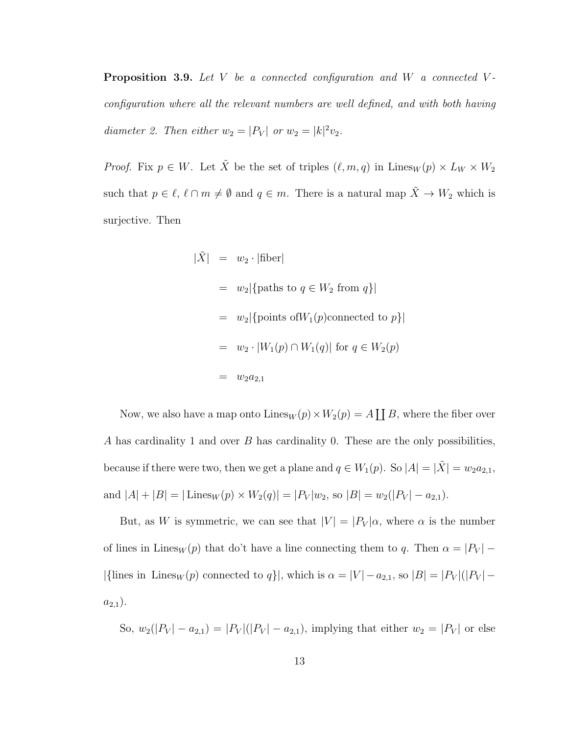**Proposition 3.9.** Let V be a connected configuration and W a connected Vconfiguration where all the relevant numbers are well defined, and with both having diameter 2. Then either  $w_2 = |P_V|$  or  $w_2 = |k|^2 v_2$ .

*Proof.* Fix  $p \in W$ . Let  $\tilde{X}$  be the set of triples  $(\ell, m, q)$  in Lines<sub>W</sub>  $(p) \times L_W \times W_2$ such that  $p \in \ell, \ell \cap m \neq \emptyset$  and  $q \in m$ . There is a natural map  $\tilde{X} \to W_2$  which is surjective. Then

$$
\begin{array}{rcl}\n|\tilde{X}| & = & w_2 \cdot |\text{fiber}|\n\end{array}
$$
\n
$$
\begin{array}{rcl}\n& = & w_2 |\{\text{paths to } q \in W_2 \text{ from } q\}|\n\end{array}
$$
\n
$$
\begin{array}{rcl}\n& = & w_2 |\{\text{points of } W_1(p)\text{connected to } p\}|\n\end{array}
$$
\n
$$
\begin{array}{rcl}\n& = & w_2 \cdot |W_1(p) \cap W_1(q)| \text{ for } q \in W_2(p)\n\end{array}
$$
\n
$$
\begin{array}{rcl}\n& = & w_2 a_{2,1}\n\end{array}
$$

Now, we also have a map onto  $\text{Lines}_W(p) \times W_2(p) = A \coprod B$ , where the fiber over A has cardinality 1 and over  $B$  has cardinality 0. These are the only possibilities, because if there were two, then we get a plane and  $q \in W_1(p)$ . So  $|A| = |\tilde{X}| = w_2 a_{2,1}$ , and  $|A| + |B| = |\text{Lines}_W(p) \times W_2(q)| = |P_V|w_2$ , so  $|B| = w_2(|P_V| - a_{2,1}).$ 

But, as W is symmetric, we can see that  $|V| = |P_V|\alpha$ , where  $\alpha$  is the number of lines in Lines<sub>W</sub> (p) that do't have a line connecting them to q. Then  $\alpha = |P_V|$  – |{lines in Lines<sub>W</sub>(p) connected to q}|, which is  $\alpha = |V| - a_{2,1}$ , so  $|B| = |P_V|(|P_V|$  $a_{2,1}$ ).

So,  $w_2(|P_V| - a_{2,1}) = |P_V|(|P_V| - a_{2,1}),$  implying that either  $w_2 = |P_V|$  or else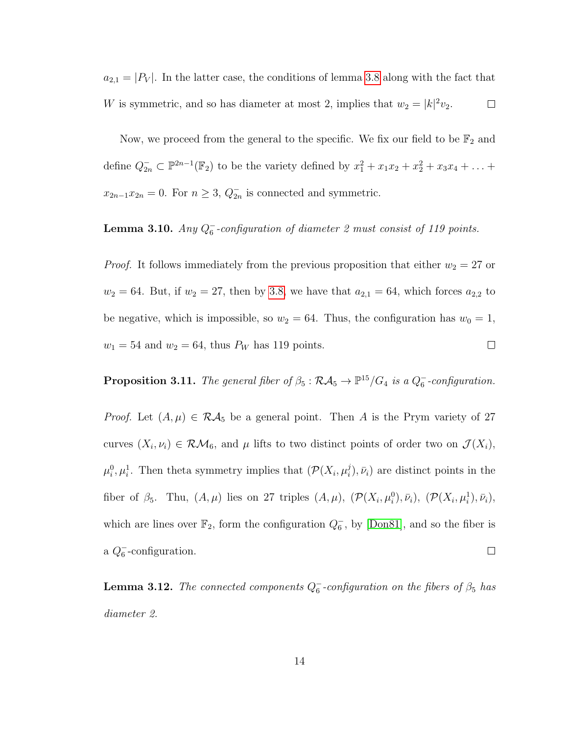$a_{2,1} = |P_V|$ . In the latter case, the conditions of lemma [3.8](#page-15-0) along with the fact that W is symmetric, and so has diameter at most 2, implies that  $w_2 = |k|^2 v_2$ .  $\Box$ 

Now, we proceed from the general to the specific. We fix our field to be  $\mathbb{F}_2$  and define  $Q_{2n}^- \subset \mathbb{P}^{2n-1}(\mathbb{F}_2)$  to be the variety defined by  $x_1^2 + x_1x_2 + x_2^2 + x_3x_4 + ...$  $x_{2n-1}x_{2n} = 0$ . For  $n \geq 3$ ,  $Q_{2n}^-$  is connected and symmetric.

#### <span id="page-18-0"></span>**Lemma 3.10.** Any  $Q_6^-$ -configuration of diameter 2 must consist of 119 points.

*Proof.* It follows immediately from the previous proposition that either  $w_2 = 27$  or  $w_2 = 64$ . But, if  $w_2 = 27$ , then by [3.8,](#page-15-0) we have that  $a_{2,1} = 64$ , which forces  $a_{2,2}$  to be negative, which is impossible, so  $w_2 = 64$ . Thus, the configuration has  $w_0 = 1$ ,  $w_1 = 54$  and  $w_2 = 64$ , thus  $P_W$  has 119 points.  $\Box$ 

**Proposition 3.11.** The general fiber of  $\beta_5 : \mathcal{RA}_5 \to \mathbb{P}^{15}/G_4$  is a  $Q_6^-$ -configuration.

*Proof.* Let  $(A, \mu) \in \mathcal{RA}_5$  be a general point. Then A is the Prym variety of 27 curves  $(X_i, \nu_i) \in \mathcal{RM}_6$ , and  $\mu$  lifts to two distinct points of order two on  $\mathcal{J}(X_i)$ ,  $\mu_i^0, \mu_i^1$ . Then theta symmetry implies that  $(\mathcal{P}(X_i, \mu_i^j))$  $(i,j)$ ,  $\bar{\nu}_i$ ) are distinct points in the fiber of  $\beta_5$ . Thu,  $(A, \mu)$  lies on 27 triples  $(A, \mu)$ ,  $(\mathcal{P}(X_i, \mu_i^0), \bar{\nu}_i)$ ,  $(\mathcal{P}(X_i, \mu_i^1), \bar{\nu}_i)$ , which are lines over  $\mathbb{F}_2$ , form the configuration  $Q_6^-$ , by [\[Don81\]](#page-31-5), and so the fiber is a  $Q_6^-$ -configuration.  $\Box$ 

**Lemma 3.12.** The connected components  $Q_6^-$ -configuration on the fibers of  $\beta_5$  has diameter 2.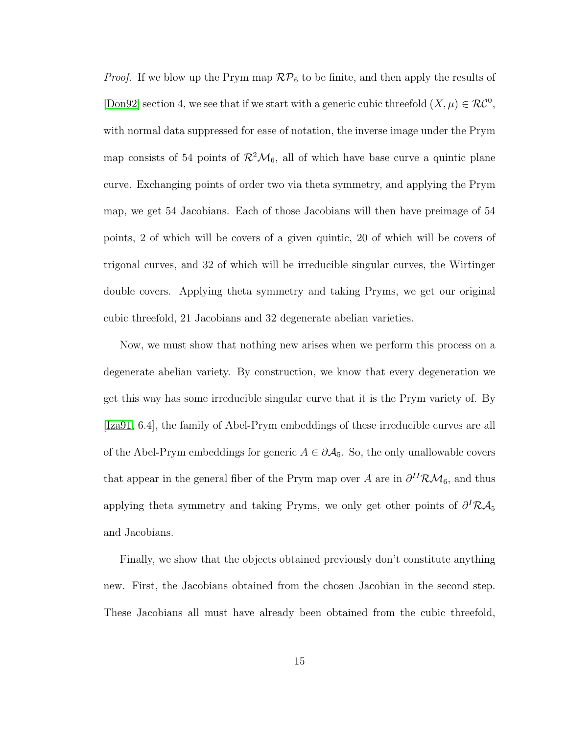*Proof.* If we blow up the Prym map  $\mathcal{RP}_6$  to be finite, and then apply the results of [\[Don92\]](#page-32-3) section 4, we see that if we start with a generic cubic threefold  $(X, \mu) \in \mathcal{RC}^0$ , with normal data suppressed for ease of notation, the inverse image under the Prym map consists of 54 points of  $\mathcal{R}^2\mathcal{M}_6$ , all of which have base curve a quintic plane curve. Exchanging points of order two via theta symmetry, and applying the Prym map, we get 54 Jacobians. Each of those Jacobians will then have preimage of 54 points, 2 of which will be covers of a given quintic, 20 of which will be covers of trigonal curves, and 32 of which will be irreducible singular curves, the Wirtinger double covers. Applying theta symmetry and taking Pryms, we get our original cubic threefold, 21 Jacobians and 32 degenerate abelian varieties.

Now, we must show that nothing new arises when we perform this process on a degenerate abelian variety. By construction, we know that every degeneration we get this way has some irreducible singular curve that it is the Prym variety of. By [\[Iza91,](#page-33-6) 6.4], the family of Abel-Prym embeddings of these irreducible curves are all of the Abel-Prym embeddings for generic  $A \in \partial A_5$ . So, the only unallowable covers that appear in the general fiber of the Prym map over A are in  $\partial^{II}R\mathcal{M}_6$ , and thus applying theta symmetry and taking Pryms, we only get other points of  $\partial^I \mathcal{R} \mathcal{A}_5$ and Jacobians.

Finally, we show that the objects obtained previously don't constitute anything new. First, the Jacobians obtained from the chosen Jacobian in the second step. These Jacobians all must have already been obtained from the cubic threefold,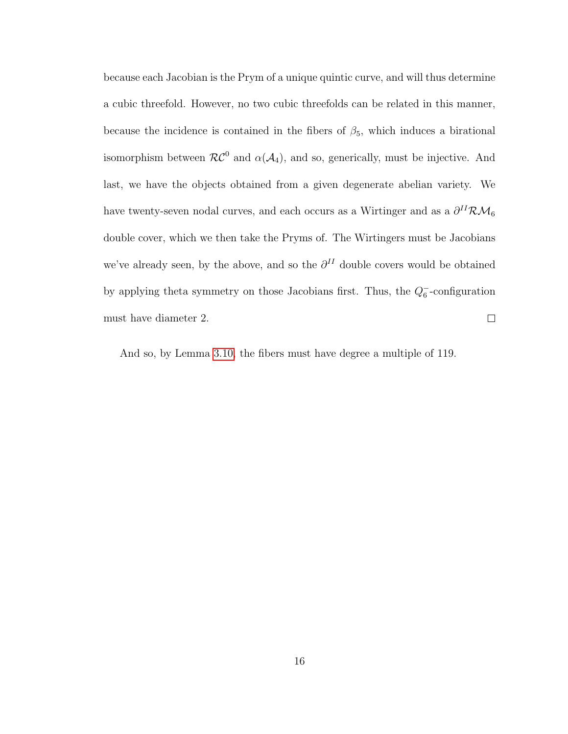because each Jacobian is the Prym of a unique quintic curve, and will thus determine a cubic threefold. However, no two cubic threefolds can be related in this manner, because the incidence is contained in the fibers of  $\beta_5$ , which induces a birational isomorphism between  $\mathcal{RC}^0$  and  $\alpha(\mathcal{A}_4)$ , and so, generically, must be injective. And last, we have the objects obtained from a given degenerate abelian variety. We have twenty-seven nodal curves, and each occurs as a Wirtinger and as a  $\partial^{II} \mathcal{RM}_6$ double cover, which we then take the Pryms of. The Wirtingers must be Jacobians we've already seen, by the above, and so the  $\partial^{II}$  double covers would be obtained by applying theta symmetry on those Jacobians first. Thus, the  $Q_6^-$ -configuration must have diameter 2.  $\Box$ 

And so, by Lemma [3.10,](#page-18-0) the fibers must have degree a multiple of 119.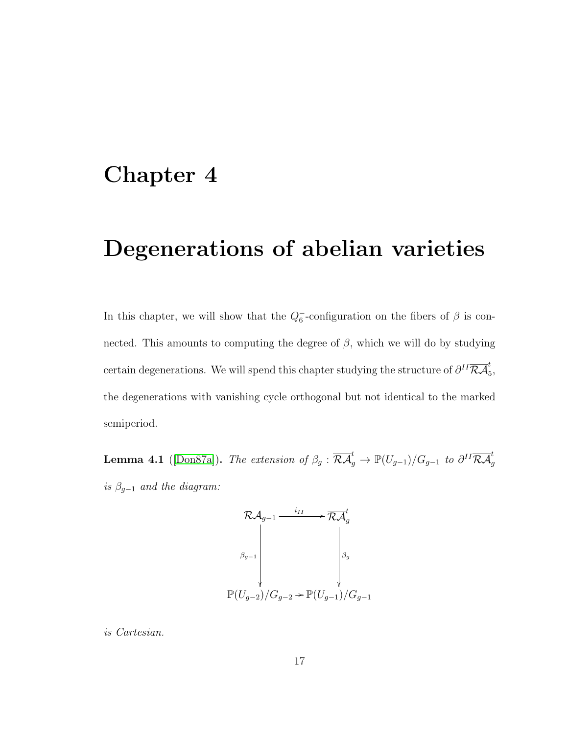### <span id="page-21-0"></span>Chapter 4

# Degenerations of abelian varieties

In this chapter, we will show that the  $Q_6^-$ -configuration on the fibers of  $\beta$  is connected. This amounts to computing the degree of  $\beta$ , which we will do by studying certain degenerations. We will spend this chapter studying the structure of  $\partial^{II} \overline{\mathcal{R} \mathcal{A}}_5^t,$ the degenerations with vanishing cycle orthogonal but not identical to the marked semiperiod.

<span id="page-21-1"></span>**Lemma 4.1** ([\[Don87a\]](#page-31-2)). The extension of  $\beta_g : \overline{\mathcal{R}A}_g^t \to \mathbb{P}(U_{g-1})/G_{g-1}$  to  $\partial^{II} \overline{\mathcal{R}A}_g^t$ is  $\beta_{g-1}$  and the diagram:

$$
\mathcal{R}\mathcal{A}_{g-1} \xrightarrow{i_{II}} \mathcal{R}\mathcal{A}_{g}
$$
\n
$$
\beta_{g-1} \downarrow \beta_{g}
$$
\n
$$
\mathbb{P}(U_{g-2})/G_{g-2} \to \mathbb{P}(U_{g-1})/G_{g-1}
$$

is Cartesian.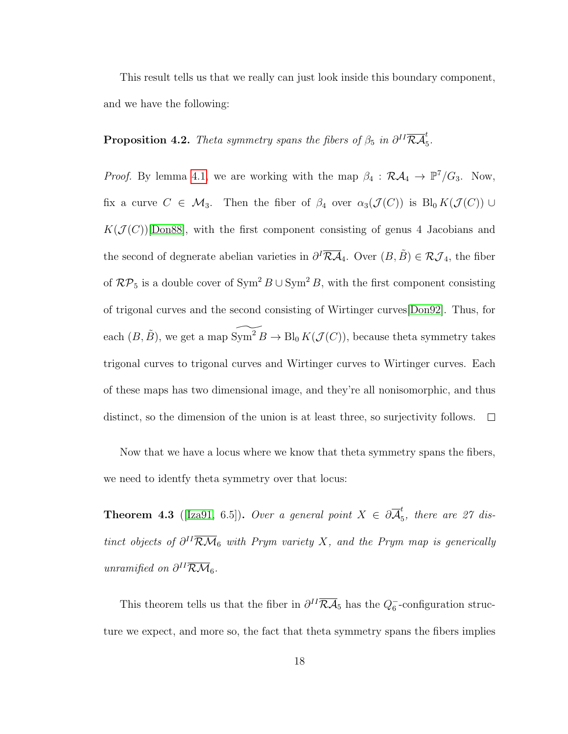This result tells us that we really can just look inside this boundary component, and we have the following:

**Proposition 4.2.** Theta symmetry spans the fibers of  $\beta_5$  in  $\partial^{II} \overline{\mathcal{R}A}_5^t$ .

*Proof.* By lemma [4.1,](#page-21-1) we are working with the map  $\beta_4 : \mathcal{R}A_4 \to \mathbb{P}^7/G_3$ . Now, fix a curve  $C \in \mathcal{M}_3$ . Then the fiber of  $\beta_4$  over  $\alpha_3(\mathcal{J}(C))$  is  $\text{Bl}_0 K(\mathcal{J}(C)) \cup$  $K(\mathcal{J}(C))$ [\[Don88\]](#page-32-6), with the first component consisting of genus 4 Jacobians and the second of degnerate abelian varieties in  $\partial^I \overline{\mathcal{R}A}_4$ . Over  $(B, \tilde{B}) \in \mathcal{R}J_4$ , the fiber of  $\mathcal{RP}_5$  is a double cover of  $\text{Sym}^2 B \cup \text{Sym}^2 B$ , with the first component consisting of trigonal curves and the second consisting of Wirtinger curves[\[Don92\]](#page-32-3). Thus, for each  $(B, \tilde{B})$ , we get a map  $\widetilde{\mathrm{Sym}^2 B} \to \mathrm{Bl}_0 K(\mathcal{J} (C))$ , because theta symmetry takes trigonal curves to trigonal curves and Wirtinger curves to Wirtinger curves. Each of these maps has two dimensional image, and they're all nonisomorphic, and thus distinct, so the dimension of the union is at least three, so surjectivity follows.  $\Box$ 

Now that we have a locus where we know that theta symmetry spans the fibers, we need to identfy theta symmetry over that locus:

<span id="page-22-0"></span>**Theorem 4.3** ([\[Iza91,](#page-33-6) 6.5]). Over a general point  $X \in \partial \overline{\mathcal{A}}_{\overline{r}}^t$  $\frac{1}{5}$ , there are 27 distinct objects of  $\partial^{II} \overline{\mathcal{R}M}_{6}$  with Prym variety X, and the Prym map is generically unramified on  $\partial^{II} \overline{\mathcal{R}M}_6$ .

This theorem tells us that the fiber in  $\partial^{II}\overline{\mathcal{R}\mathcal{A}}_5$  has the  $Q_6^-$ -configuration structure we expect, and more so, the fact that theta symmetry spans the fibers implies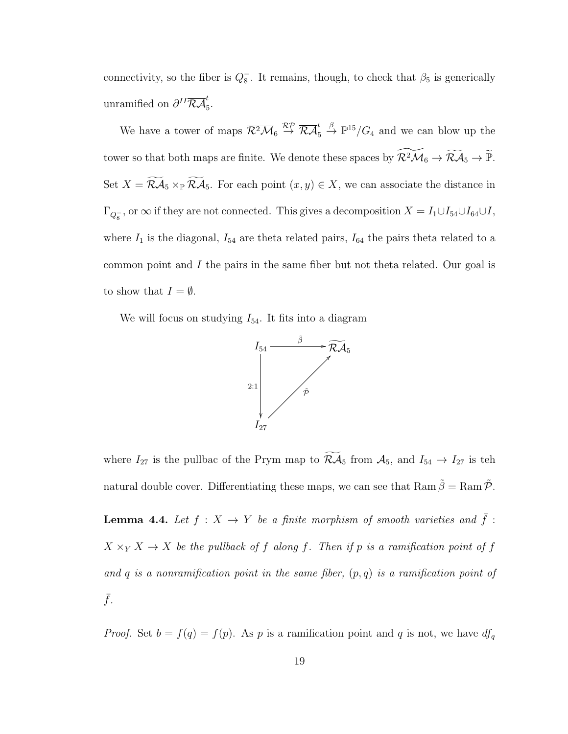connectivity, so the fiber is  $Q_8^-$ . It remains, though, to check that  $\beta_5$  is generically unramified on  $\partial^{II} \overline{\mathcal{R}A}_{5}^{t}$ .

We have a tower of maps  $\overline{\mathcal{R}^2\mathcal{M}}_6 \stackrel{\mathcal{RP}}{\rightarrow} \overline{\mathcal{R}\mathcal{A}}_5^t \stackrel{\beta}{\rightarrow} \mathbb{P}^{15}/G_4$  and we can blow up the tower so that both maps are finite. We denote these spaces by  $\widetilde{\mathcal{R}^2\mathcal{M}}_6 \to \widetilde{\mathcal{R}\mathcal{A}}_5 \to \widetilde{\mathbb{P}}$ . Set  $X = \widetilde{\mathcal{R}A}_5 \times_{\mathbb{P}} \widetilde{\mathcal{R}A}_5$ . For each point  $(x, y) \in X$ , we can associate the distance in  $\Gamma_{Q_8^-}$ , or  $\infty$  if they are not connected. This gives a decomposition  $X = I_1 \cup I_{54} \cup I_{64} \cup I$ , where  $I_1$  is the diagonal,  $I_{54}$  are theta related pairs,  $I_{64}$  the pairs theta related to a common point and I the pairs in the same fiber but not theta related. Our goal is to show that  $I = \emptyset$ .

We will focus on studying  $I_{54}$ . It fits into a diagram



where  $I_{27}$  is the pullbac of the Prym map to  $\widetilde{\mathcal{R}}\mathcal{A}_5$  from  $\mathcal{A}_5$ , and  $I_{54} \to I_{27}$  is teh natural double cover. Differentiating these maps, we can see that  $\text{Ram}\,\beta = \text{Ram}\,\mathcal{P}$ .

<span id="page-23-0"></span>**Lemma 4.4.** Let  $f : X \to Y$  be a finite morphism of smooth varieties and  $\bar{f}$ :  $X \times_Y X \to X$  be the pullback of f along f. Then if p is a ramification point of f and  $q$  is a nonramification point in the same fiber,  $(p, q)$  is a ramification point of  $\bar{f}$ .

*Proof.* Set  $b = f(q) = f(p)$ . As p is a ramification point and q is not, we have  $df_q$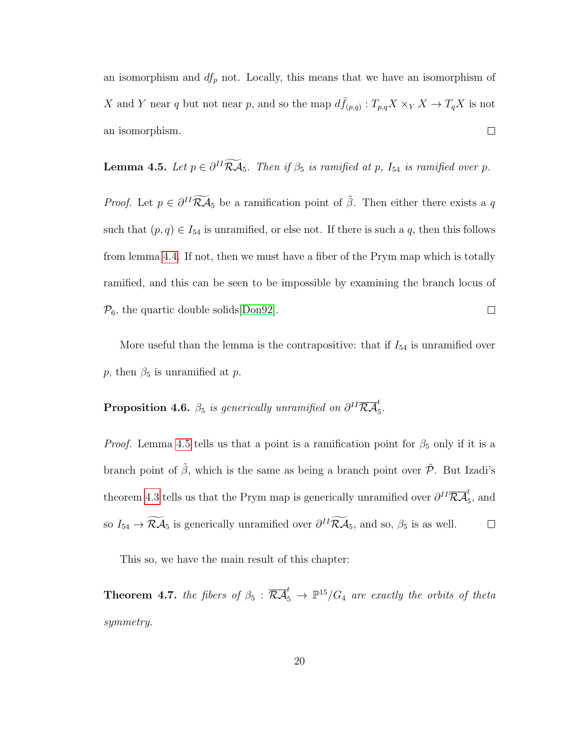an isomorphism and  $df_p$  not. Locally, this means that we have an isomorphism of X and Y near q but not near p, and so the map  $d\bar{f}_{(p,q)}$ :  $T_{p,q}X \times_Y X \to T_q X$  is not an isomorphism.  $\Box$ 

<span id="page-24-0"></span>**Lemma 4.5.** Let  $p \in \partial^H \mathcal{R} \mathcal{A}_5$ . Then if  $\beta_5$  is ramified at p,  $I_{54}$  is ramified over p.

*Proof.* Let  $p \in \partial^{II} \widetilde{\mathcal{R}A}_5$  be a ramification point of  $\tilde{\beta}$ . Then either there exists a q such that  $(p, q) \in I_{54}$  is unramified, or else not. If there is such a q, then this follows from lemma [4.4.](#page-23-0) If not, then we must have a fiber of the Prym map which is totally ramified, and this can be seen to be impossible by examining the branch locus of  $\mathcal{P}_6$ , the quartic double solids [\[Don92\]](#page-32-3).  $\Box$ 

More useful than the lemma is the contrapositive: that if  $I_{54}$  is unramified over p, then  $\beta_5$  is unramified at p.

#### **Proposition 4.6.**  $\beta_5$  is generically unramified on  $\partial^{II} \overline{\mathcal{R}A}_5^t$ .

*Proof.* Lemma [4.5](#page-24-0) tells us that a point is a ramification point for  $\beta_5$  only if it is a branch point of  $\tilde{\beta}$ , which is the same as being a branch point over  $\tilde{\mathcal{P}}$ . But Izadi's theorem [4.3](#page-22-0) tells us that the Prym map is generically unramified over  $\partial^{II} \overline{\mathcal{R} \mathcal{A}}_5^t$ , and so  $I_{54} \to \mathcal{R} \mathcal{A}_5$  is generically unramified over  $\partial^{II} \mathcal{R} \mathcal{A}_5$ , and so,  $\beta_5$  is as well.  $\Box$ 

This so, we have the main result of this chapter:

**Theorem 4.7.** the fibers of  $\beta_5 : \overline{\mathcal{R}A}_5^t \rightarrow \mathbb{P}^{15}/G_4$  are exactly the orbits of theta symmetry.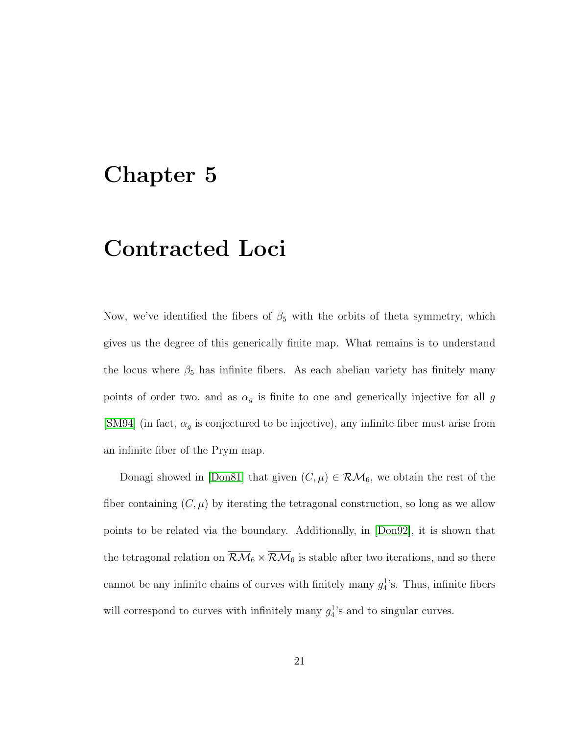### <span id="page-25-0"></span>Chapter 5

## Contracted Loci

Now, we've identified the fibers of  $\beta_5$  with the orbits of theta symmetry, which gives us the degree of this generically finite map. What remains is to understand the locus where  $\beta_5$  has infinite fibers. As each abelian variety has finitely many points of order two, and as  $\alpha_g$  is finite to one and generically injective for all  $g$ [\[SM94\]](#page-34-2) (in fact,  $\alpha_g$  is conjectured to be injective), any infinite fiber must arise from an infinite fiber of the Prym map.

Donagi showed in [\[Don81\]](#page-31-5) that given  $(C, \mu) \in \mathcal{RM}_6$ , we obtain the rest of the fiber containing  $(C, \mu)$  by iterating the tetragonal construction, so long as we allow points to be related via the boundary. Additionally, in [\[Don92\]](#page-32-3), it is shown that the tetragonal relation on  $\overline{\mathcal{R}\mathcal{M}}_6 \times \overline{\mathcal{R}\mathcal{M}}_6$  is stable after two iterations, and so there cannot be any infinite chains of curves with finitely many  $g_4^1$ 's. Thus, infinite fibers will correspond to curves with infinitely many  $g_4^1$ 's and to singular curves.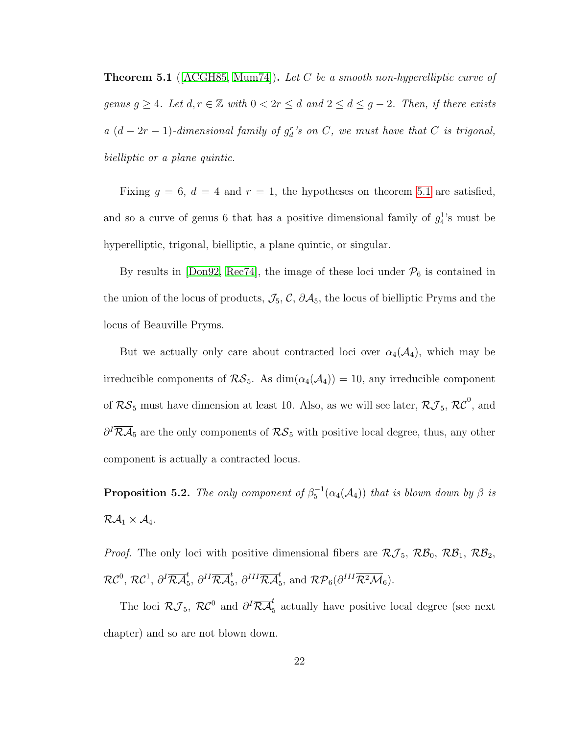<span id="page-26-0"></span>**Theorem 5.1** ( $[ACGH85, Num74]$  $[ACGH85, Num74]$ ). Let C be a smooth non-hyperelliptic curve of genus  $g \geq 4$ . Let  $d, r \in \mathbb{Z}$  with  $0 < 2r \leq d$  and  $2 \leq d \leq g-2$ . Then, if there exists  $a (d - 2r - 1)$ -dimensional family of  $g_d^r$ 's on C, we must have that C is trigonal, bielliptic or a plane quintic.

Fixing  $g = 6$ ,  $d = 4$  and  $r = 1$ , the hypotheses on theorem [5.1](#page-26-0) are satisfied, and so a curve of genus 6 that has a positive dimensional family of  $g_4^1$ 's must be hyperelliptic, trigonal, bielliptic, a plane quintic, or singular.

By results in [\[Don92,](#page-32-3) [Rec74\]](#page-33-7), the image of these loci under  $P_6$  is contained in the union of the locus of products,  $\mathcal{J}_5$ ,  $\mathcal{C}$ ,  $\partial \mathcal{A}_5$ , the locus of bielliptic Pryms and the locus of Beauville Pryms.

But we actually only care about contracted loci over  $\alpha_4(\mathcal{A}_4)$ , which may be irreducible components of  $\mathcal{RS}_5$ . As  $\dim(\alpha_4(\mathcal{A}_4)) = 10$ , any irreducible component of  $RS_5$  must have dimension at least 10. Also, as we will see later,  $\overline{RJ}_5$ ,  $\overline{RC}^0$ , and  $\partial^I \overline{\mathcal{R}A}_5$  are the only components of  $\mathcal{R}S_5$  with positive local degree, thus, any other component is actually a contracted locus.

<span id="page-26-1"></span>**Proposition 5.2.** The only component of  $\beta_5^{-1}(\alpha_4(A_4))$  that is blown down by  $\beta$  is  $\mathcal{RA}_1 \times \mathcal{A}_4$ .

*Proof.* The only loci with positive dimensional fibers are  $\mathcal{RJ}_5$ ,  $\mathcal{RB}_0$ ,  $\mathcal{RB}_1$ ,  $\mathcal{RB}_2$ ,  $\mathcal{RC}^0, \, \mathcal{RC}^1, \, \partial^I\overline{\mathcal{RA}}_5^t, \, \partial^{II}\overline{\mathcal{RA}}_5^t, \, \partial^{III}\overline{\mathcal{RA}}_5^t, \, \text{and} \,\, \mathcal{RP}_6(\partial^{III}\overline{\mathcal{R}^2\mathcal{M}}_6).$ 

The loci  $\mathcal{RJ}_5$ ,  $\mathcal{R}\mathcal{C}^0$  and  $\partial^I \overline{\mathcal{R}\mathcal{A}}_5^t$  actually have positive local degree (see next chapter) and so are not blown down.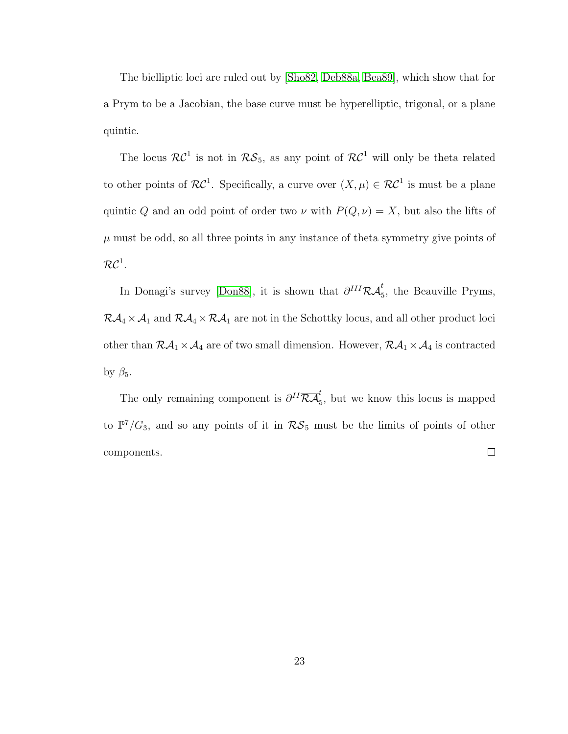The bielliptic loci are ruled out by [\[Sho82,](#page-34-3) [Deb88a,](#page-31-6) [Bea89\]](#page-30-4), which show that for a Prym to be a Jacobian, the base curve must be hyperelliptic, trigonal, or a plane quintic.

The locus  $\mathcal{RC}^1$  is not in  $\mathcal{RS}_5$ , as any point of  $\mathcal{RC}^1$  will only be theta related to other points of  $\mathcal{RC}^1$ . Specifically, a curve over  $(X,\mu) \in \mathcal{RC}^1$  is must be a plane quintic Q and an odd point of order two  $\nu$  with  $P(Q, \nu) = X$ , but also the lifts of  $\mu$  must be odd, so all three points in any instance of theta symmetry give points of  $\mathcal{RC}^1.$ 

In Donagi's survey [\[Don88\]](#page-32-6), it is shown that  $\partial^{III} \overline{\mathcal{R}A}_{5}^{t}$ , the Beauville Pryms,  $R\mathcal{A}_4 \times \mathcal{A}_1$  and  $R\mathcal{A}_4 \times R\mathcal{A}_1$  are not in the Schottky locus, and all other product loci other than  $\mathcal{RA}_1 \times \mathcal{A}_4$  are of two small dimension. However,  $\mathcal{RA}_1 \times \mathcal{A}_4$  is contracted by  $\beta_5$ .

The only remaining component is  $\partial^{II} \overline{\mathcal{R}A}_5^t$ , but we know this locus is mapped to  $\mathbb{P}^7/G_3$ , and so any points of it in  $\mathcal{RS}_5$  must be the limits of points of other components.  $\Box$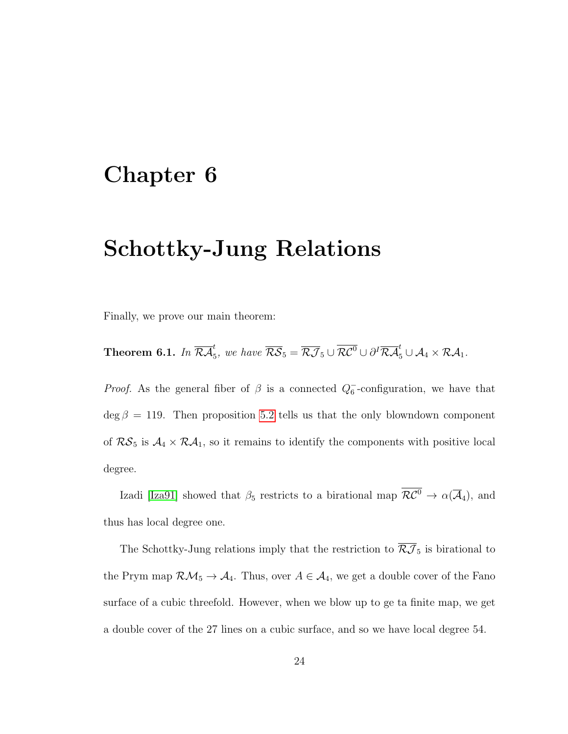## <span id="page-28-0"></span>Chapter 6

# Schottky-Jung Relations

Finally, we prove our main theorem:

**Theorem 6.1.** In  $\overline{\mathcal{R}\mathcal{A}}_5^t$ , we have  $\overline{\mathcal{R}\mathcal{S}}_5 = \overline{\mathcal{R}\mathcal{J}}_5 \cup \overline{\mathcal{R}\mathcal{C}^0} \cup \partial^I \overline{\mathcal{R}\mathcal{A}}_5^t \cup \mathcal{A}_4 \times \mathcal{R}\mathcal{A}_1$ .

*Proof.* As the general fiber of  $\beta$  is a connected  $Q_6^-$ -configuration, we have that  $\deg \beta = 119$ . Then proposition [5.2](#page-26-1) tells us that the only blowndown component of  $RS_5$  is  $A_4 \times RA_1$ , so it remains to identify the components with positive local degree.

Izadi [\[Iza91\]](#page-33-6) showed that  $\beta_5$  restricts to a birational map  $\overline{\mathcal{RC}^0} \to \alpha(\overline{\mathcal{A}}_4)$ , and thus has local degree one.

The Schottky-Jung relations imply that the restriction to  $\overline{\mathcal{RJ}}_5$  is birational to the Prym map  $\mathcal{RM}_5 \to \mathcal{A}_4$ . Thus, over  $A \in \mathcal{A}_4$ , we get a double cover of the Fano surface of a cubic threefold. However, when we blow up to ge ta finite map, we get a double cover of the 27 lines on a cubic surface, and so we have local degree 54.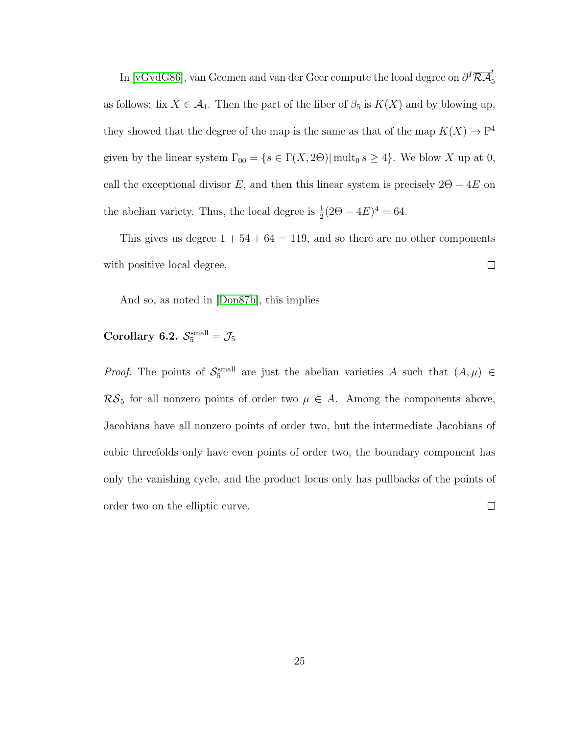In [\[vGvdG86\]](#page-34-1), van Geemen and van der Geer compute the lcoal degree on  $\partial^I\overline{\mathcal{R}\mathcal{A}}_5^t$ as follows: fix  $X \in \mathcal{A}_4$ . Then the part of the fiber of  $\beta_5$  is  $K(X)$  and by blowing up, they showed that the degree of the map is the same as that of the map  $K(X) \to \mathbb{P}^4$ given by the linear system  $\Gamma_{00} = \{s \in \Gamma(X, 2\Theta) | \text{mult}_0 \ s \geq 4\}.$  We blow X up at 0, call the exceptional divisor  $E$ , and then this linear system is precisely  $2\Theta - 4E$  on the abelian variety. Thus, the local degree is  $\frac{1}{2}(2\Theta - 4E)^4 = 64$ .

This gives us degree  $1 + 54 + 64 = 119$ , and so there are no other components with positive local degree.  $\Box$ 

And so, as noted in [\[Don87b\]](#page-32-2), this implies

#### Corollary 6.2.  $\mathcal{S}_5^{\text{small}} = \mathcal{J}_5$

*Proof.* The points of  $S_5^{\text{small}}$  are just the abelian varieties A such that  $(A, \mu) \in$  $\mathcal{RS}_5$  for all nonzero points of order two  $\mu \in A$ . Among the components above, Jacobians have all nonzero points of order two, but the intermediate Jacobians of cubic threefolds only have even points of order two, the boundary component has only the vanishing cycle, and the product locus only has pullbacks of the points of  $\Box$ order two on the elliptic curve.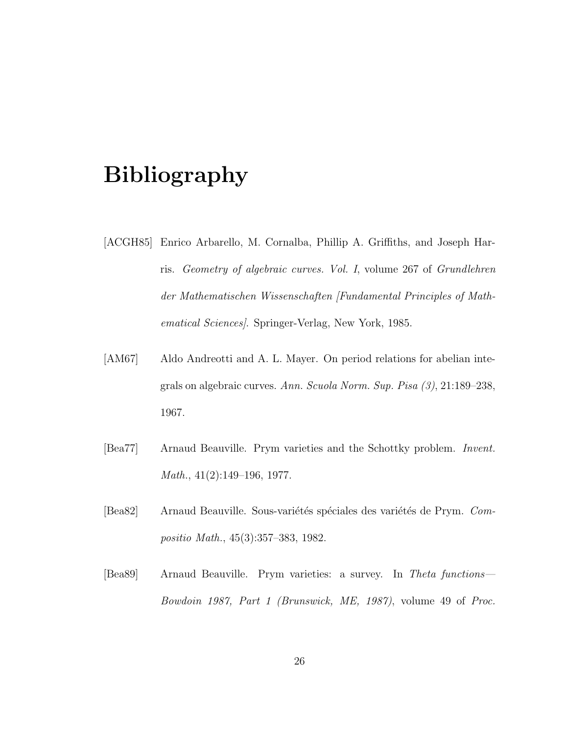# Bibliography

- <span id="page-30-3"></span>[ACGH85] Enrico Arbarello, M. Cornalba, Phillip A. Griffiths, and Joseph Harris. Geometry of algebraic curves. Vol. I, volume 267 of Grundlehren der Mathematischen Wissenschaften [Fundamental Principles of Mathematical Sciences]. Springer-Verlag, New York, 1985.
- <span id="page-30-0"></span>[AM67] Aldo Andreotti and A. L. Mayer. On period relations for abelian integrals on algebraic curves. Ann. Scuola Norm. Sup. Pisa (3), 21:189–238, 1967.
- <span id="page-30-1"></span>[Bea77] Arnaud Beauville. Prym varieties and the Schottky problem. Invent. Math., 41(2):149–196, 1977.
- <span id="page-30-2"></span>[Bea82] Arnaud Beauville. Sous-variétés spéciales des variétés de Prym. Compositio Math., 45(3):357–383, 1982.
- <span id="page-30-4"></span>[Bea89] Arnaud Beauville. Prym varieties: a survey. In Theta functions— Bowdoin 1987, Part 1 (Brunswick, ME, 1987), volume 49 of Proc.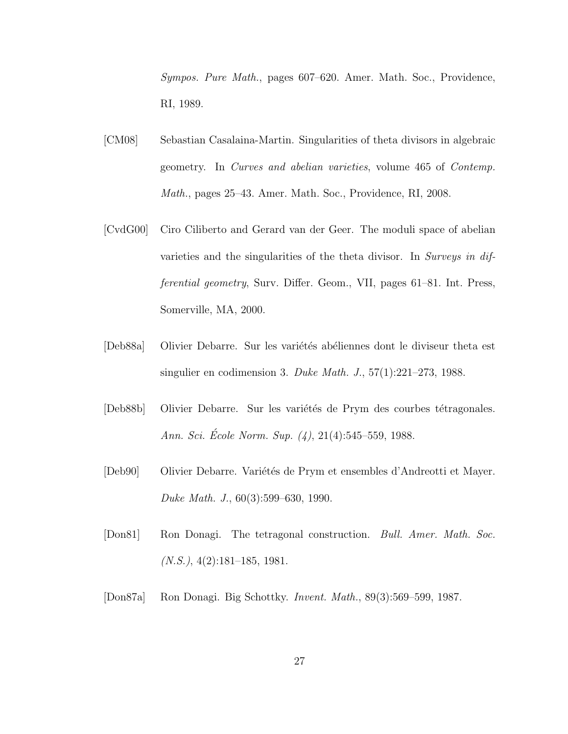Sympos. Pure Math., pages 607–620. Amer. Math. Soc., Providence, RI, 1989.

- <span id="page-31-0"></span>[CM08] Sebastian Casalaina-Martin. Singularities of theta divisors in algebraic geometry. In Curves and abelian varieties, volume 465 of Contemp. Math., pages 25–43. Amer. Math. Soc., Providence, RI, 2008.
- <span id="page-31-1"></span>[CvdG00] Ciro Ciliberto and Gerard van der Geer. The moduli space of abelian varieties and the singularities of the theta divisor. In Surveys in differential geometry, Surv. Differ. Geom., VII, pages 61–81. Int. Press, Somerville, MA, 2000.
- <span id="page-31-6"></span>[Deb88a] Olivier Debarre. Sur les variétés abéliennes dont le diviseur theta est singulier en codimension 3. Duke Math. J., 57(1):221–273, 1988.
- <span id="page-31-4"></span>[Deb88b] Olivier Debarre. Sur les variétés de Prym des courbes tétragonales. Ann. Sci. Ecole Norm. Sup.  $(4)$ , 21 $(4)$ :545–559, 1988.
- <span id="page-31-3"></span>[Deb90] Olivier Debarre. Variétés de Prym et ensembles d'Andreotti et Mayer. Duke Math. J., 60(3):599–630, 1990.
- <span id="page-31-5"></span>[Don81] Ron Donagi. The tetragonal construction. Bull. Amer. Math. Soc.  $(N.S.), 4(2):181-185, 1981.$
- <span id="page-31-2"></span>[Don87a] Ron Donagi. Big Schottky. Invent. Math., 89(3):569–599, 1987.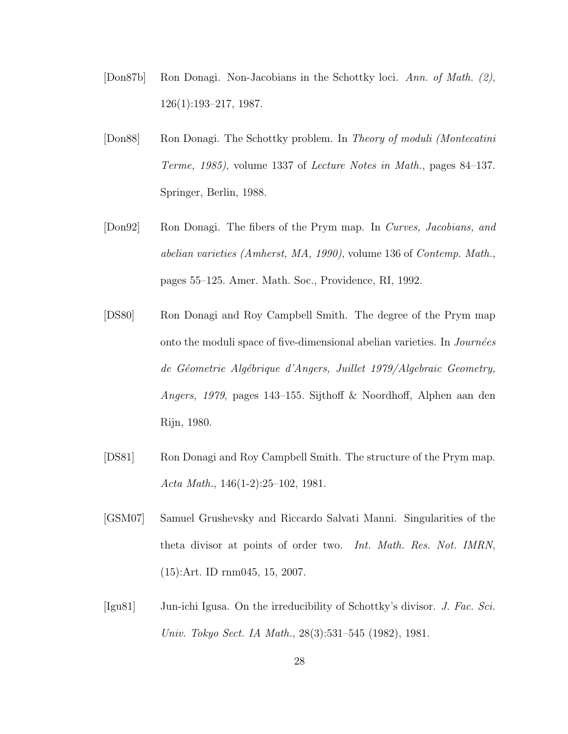- <span id="page-32-2"></span>[Don87b] Ron Donagi. Non-Jacobians in the Schottky loci. Ann. of Math. (2), 126(1):193–217, 1987.
- <span id="page-32-6"></span>[Don88] Ron Donagi. The Schottky problem. In Theory of moduli (Montecatini Terme, 1985), volume 1337 of Lecture Notes in Math., pages 84–137. Springer, Berlin, 1988.
- <span id="page-32-3"></span>[Don92] Ron Donagi. The fibers of the Prym map. In Curves, Jacobians, and abelian varieties (Amherst, MA, 1990), volume 136 of Contemp. Math., pages 55–125. Amer. Math. Soc., Providence, RI, 1992.
- <span id="page-32-5"></span>[DS80] Ron Donagi and Roy Campbell Smith. The degree of the Prym map onto the moduli space of five-dimensional abelian varieties. In  $Journ\acute{e}es$ de Géometrie Algébrique d'Angers, Juillet 1979/Algebraic Geometry, Angers, 1979, pages 143–155. Sijthoff & Noordhoff, Alphen aan den Rijn, 1980.
- <span id="page-32-4"></span>[DS81] Ron Donagi and Roy Campbell Smith. The structure of the Prym map. Acta Math., 146(1-2):25–102, 1981.
- <span id="page-32-1"></span>[GSM07] Samuel Grushevsky and Riccardo Salvati Manni. Singularities of the theta divisor at points of order two. Int. Math. Res. Not. IMRN, (15):Art. ID rnm045, 15, 2007.
- <span id="page-32-0"></span>[Igu81] Jun-ichi Igusa. On the irreducibility of Schottky's divisor. J. Fac. Sci. Univ. Tokyo Sect. IA Math., 28(3):531–545 (1982), 1981.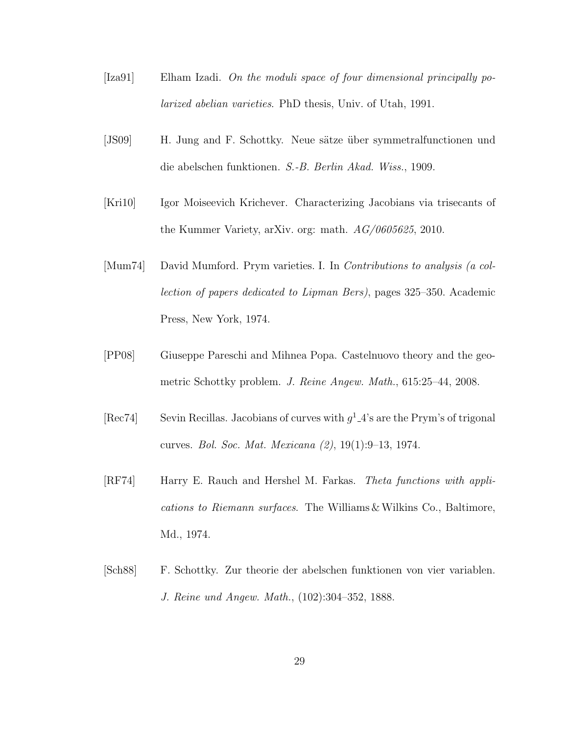- <span id="page-33-6"></span>[Iza91] Elham Izadi. On the moduli space of four dimensional principally polarized abelian varieties. PhD thesis, Univ. of Utah, 1991.
- <span id="page-33-1"></span>[JS09] H. Jung and F. Schottky. Neue sätze über symmetralfunctionen und die abelschen funktionen. S.-B. Berlin Akad. Wiss., 1909.
- <span id="page-33-2"></span>[Kri10] Igor Moiseevich Krichever. Characterizing Jacobians via trisecants of the Kummer Variety, arXiv. org: math. AG/0605625, 2010.
- <span id="page-33-4"></span>[Mum74] David Mumford. Prym varieties. I. In Contributions to analysis (a collection of papers dedicated to Lipman Bers), pages 325–350. Academic Press, New York, 1974.
- <span id="page-33-3"></span>[PP08] Giuseppe Pareschi and Mihnea Popa. Castelnuovo theory and the geometric Schottky problem. J. Reine Angew. Math., 615:25–44, 2008.
- <span id="page-33-7"></span>[Rec74] Sevin Recillas. Jacobians of curves with  $g^1_4$ 's are the Prym's of trigonal curves. Bol. Soc. Mat. Mexicana (2), 19(1):9–13, 1974.
- <span id="page-33-5"></span>[RF74] Harry E. Rauch and Hershel M. Farkas. Theta functions with applications to Riemann surfaces. The Williams & Wilkins Co., Baltimore, Md., 1974.
- <span id="page-33-0"></span>[Sch88] F. Schottky. Zur theorie der abelschen funktionen von vier variablen. J. Reine und Angew. Math., (102):304–352, 1888.